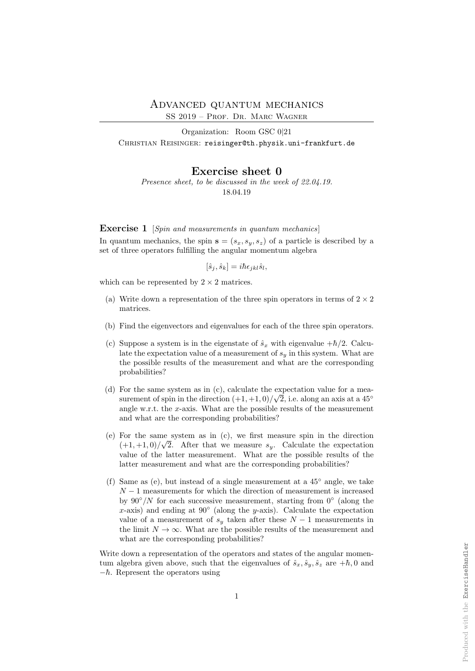SS 2019 – Prof. Dr. Marc Wagner

Organization: Room GSC 0|21 CHRISTIAN REISINGER: reisinger@th.physik.uni-frankfurt.de

Exercise sheet 0 Presence sheet, to be discussed in the week of 22.04.19.

18.04.19

Exercise 1 [Spin and measurements in quantum mechanics]

In quantum mechanics, the spin  $s = (s_x, s_y, s_z)$  of a particle is described by a set of three operators fulfilling the angular momentum algebra

$$
[\hat{s}_j, \hat{s}_k] = i\hbar \epsilon_{jkl} \hat{s}_l,
$$

which can be represented by  $2 \times 2$  matrices.

- (a) Write down a representation of the three spin operators in terms of  $2 \times 2$ matrices.
- (b) Find the eigenvectors and eigenvalues for each of the three spin operators.
- (c) Suppose a system is in the eigenstate of  $\hat{s}_x$  with eigenvalue  $+\hbar/2$ . Calculate the expectation value of a measurement of  $s_y$  in this system. What are the possible results of the measurement and what are the corresponding probabilities?
- (d) For the same system as in (c), calculate the expectation value for a measurement of spin in the direction  $(+1, +1, 0)/\sqrt{2}$ , i.e. along an axis at a 45<sup>°</sup> angle w.r.t. the x-axis. What are the possible results of the measurement and what are the corresponding probabilities?
- (e) For the same system as in (c), we first measure spin in the direction  $(+1,+1,0)/\sqrt{2}$ . After that we measure  $s_y$ . Calculate the expectation value of the latter measurement. What are the possible results of the latter measurement and what are the corresponding probabilities?
- (f) Same as (e), but instead of a single measurement at a 45◦ angle, we take  $N-1$  measurements for which the direction of measurement is increased by  $90°/N$  for each successive measurement, starting from  $0°$  (along the x-axis) and ending at  $90°$  (along the y-axis). Calculate the expectation value of a measurement of  $s_y$  taken after these  $N-1$  measurements in the limit  $N \to \infty$ . What are the possible results of the measurement and what are the corresponding probabilities?

Write down a representation of the operators and states of the angular momentum algebra given above, such that the eigenvalues of  $\hat{s}_x, \hat{s}_y, \hat{s}_z$  are  $+\hbar$ , 0 and  $-\hbar$ . Represent the operators using